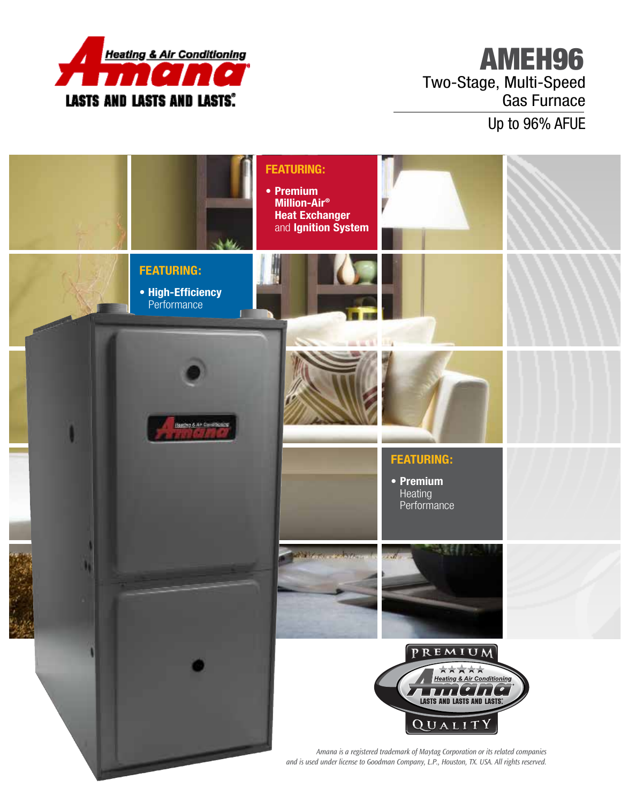

## AMEH96 Two-Stage, Multi-Speed Gas Furnace

Up to 96% AFUE

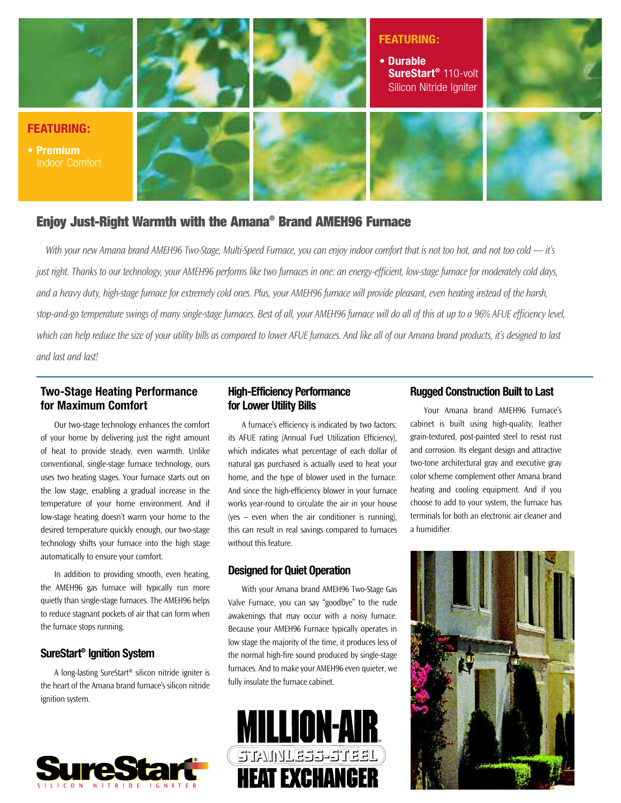

## Enjoy Just-Right Warmth with the Amana® Brand AMEH96 Furnace

*With your new Amana brand AMEH96 Two-Stage, Multi-Speed Furnace, you can enjoy indoor comfort that is not too hot, and not too cold — it's just right. Thanks to our technology, your AMEH96 performs like two furnaces in one: an energy-efficient, low-stage furnace for moderately cold days, and a heavy duty, high-stage furnace for extremely cold ones. Plus, your AMEH96 furnace will provide pleasant, even heating instead of the harsh, stop-and-go temperature swings of many single-stage furnaces. Best of all, your AMEH96 furnace will do all of this at up to a 96% AFUE efficiency level,*  which can help reduce the size of your utility bills as compared to lower AFUE furnaces. And like all of our Amana brand products, it's designed to last *and last and last!*

## **Two-Stage Heating Performance for Maximum Comfort**

Our two-stage technology enhances the comfort of your home by delivering just the right amount of heat to provide steady, even warmth. Unlike conventional, single-stage furnace technology, ours uses two heating stages. Your furnace starts out on the low stage, enabling a gradual increase in the temperature of your home environment. And if low-stage heating doesn't warm your home to the desired temperature quickly enough, our two-stage technology shifts your furnace into the high stage automatically to ensure your comfort.

In addition to providing smooth, even heating, the AMEH96 gas furnace will typically run more quietly than single-stage furnaces. The AMEH96 helps to reduce stagnant pockets of air that can form when the furnace stops running.

#### **SureStart® Ignition System**

A long-lasting SureStart® silicon nitride igniter is the heart of the Amana brand furnace's silicon nitride ignition system.



## **High-Efficiency Performance for Lower Utility Bills**

A furnace's efficiency is indicated by two factors: its AFUE rating (Annual Fuel Utilization Efficiency), which indicates what percentage of each dollar of natural gas purchased is actually used to heat your home, and the type of blower used in the furnace. And since the high-efficiency blower in your furnace works year-round to circulate the air in your house (yes – even when the air conditioner is running), this can result in real savings compared to furnaces without this feature.

#### **Designed for Quiet Operation**

With your Amana brand AMEH96 Two-Stage Gas Valve Furnace, you can say "goodbye" to the rude awakenings that may occur with a noisy furnace. Because your AMEH96 Furnace typically operates in low stage the majority of the time, it produces less of the normal high-fire sound produced by single-stage furnaces. And to make your AMEH96 even quieter, we fully insulate the furnace cabinet.



#### **Rugged Construction Built to Last**

Your Amana brand AMEH96 Furnace's cabinet is built using high-quality, leather grain-textured, post-painted steel to resist rust and corrosion. Its elegant design and attractive two-tone architectural gray and executive gray color scheme complement other Amana brand heating and cooling equipment. And if you choose to add to your system, the furnace has terminals for both an electronic air cleaner and a humidifier.

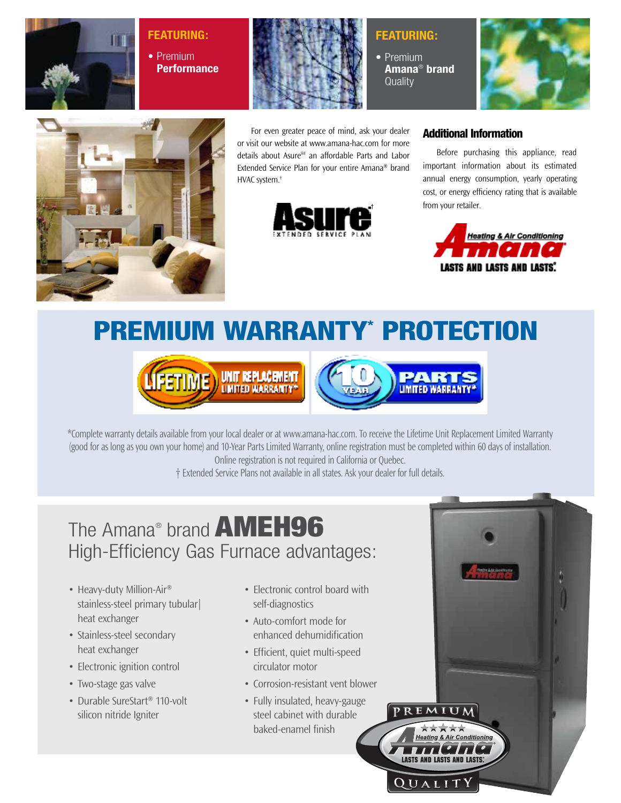

## **Featuring:**

**•** Premium **Performance**



For even greater peace of mind, ask your dealer or visit our website at www.amana-hac.com for more details about Asure<sup>™</sup> an affordable Parts and Labor Extended Service Plan for your entire Amana® brand HVAC system.†



## **Featuring:**

**•** Premium **Amana**® **brand Quality** 





## Additional Information

Before purchasing this appliance, read important information about its estimated annual energy consumption, yearly operating cost, or energy efficiency rating that is available from your retailer.



# PREMIUM WARRANTY\* PROTECTION





\*Complete warranty details available from your local dealer or at www.amana-hac.com. To receive the Lifetime Unit Replacement Limited Warranty (good for as long as you own your home) and 10-Year Parts Limited Warranty, online registration must be completed within 60 days of installation. and 10-Year Parts Limited Warranty, online registration is not required in California or Quebec.

† Extended Service Plans not available in all states. Ask your dealer for full details.

## The Amana® brand **AMEH96** High-Efficiency Gas Furnace advantages:

- Heavy-duty Million-Air<sup>®</sup> stainless-steel primary tubular| heat exchanger
- Stainless-steel secondary heat exchanger
- Electronic ignition control
- Two-stage gas valve
- Durable SureStart® 110-volt silicon nitride Igniter
- Electronic control board with self-diagnostics
- Auto-comfort mode for enhanced dehumidification
- Efficient, quiet multi-speed circulator motor
- Corrosion-resistant vent blower
- Fully insulated, heavy-gauge steel cabinet with durable baked-enamel finish